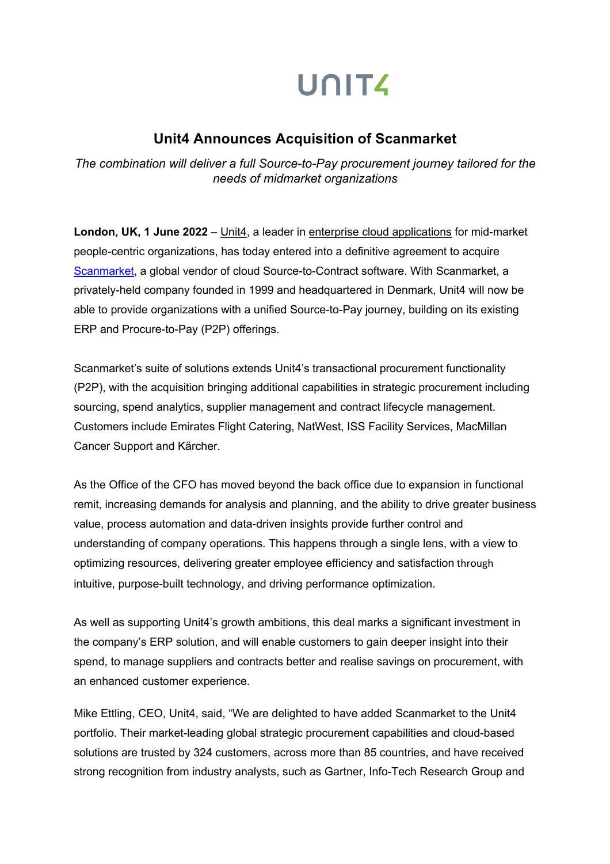# UNITA

## **Unit4 Announces Acquisition of Scanmarket**

*The combination will deliver a full Source-to-Pay procurement journey tailored for the needs of midmarket organizations*

**London, UK, 1 June 2022** *–* Unit4, a leader in enterprise cloud applications for mid-market people-centric organizations, has today entered into a definitive agreement to acquire Scanmarket, a global vendor of cloud Source-to-Contract software. With Scanmarket, a privately-held company founded in 1999 and headquartered in Denmark, Unit4 will now be able to provide organizations with a unified Source-to-Pay journey, building on its existing ERP and Procure-to-Pay (P2P) offerings.

Scanmarket's suite of solutions extends Unit4's transactional procurement functionality (P2P), with the acquisition bringing additional capabilities in strategic procurement including sourcing, spend analytics, supplier management and contract lifecycle management. Customers include Emirates Flight Catering, NatWest, ISS Facility Services, MacMillan Cancer Support and Kärcher.

As the Office of the CFO has moved beyond the back office due to expansion in functional remit, increasing demands for analysis and planning, and the ability to drive greater business value, process automation and data-driven insights provide further control and understanding of company operations. This happens through a single lens, with a view to optimizing resources, delivering greater employee efficiency and satisfaction through intuitive, purpose-built technology, and driving performance optimization.

As well as supporting Unit4's growth ambitions, this deal marks a significant investment in the company's ERP solution, and will enable customers to gain deeper insight into their spend, to manage suppliers and contracts better and realise savings on procurement, with an enhanced customer experience.

Mike Ettling, CEO, Unit4, said, "We are delighted to have added Scanmarket to the Unit4 portfolio. Their market-leading global strategic procurement capabilities and cloud-based solutions are trusted by 324 customers, across more than 85 countries, and have received strong recognition from industry analysts, such as Gartner, Info-Tech Research Group and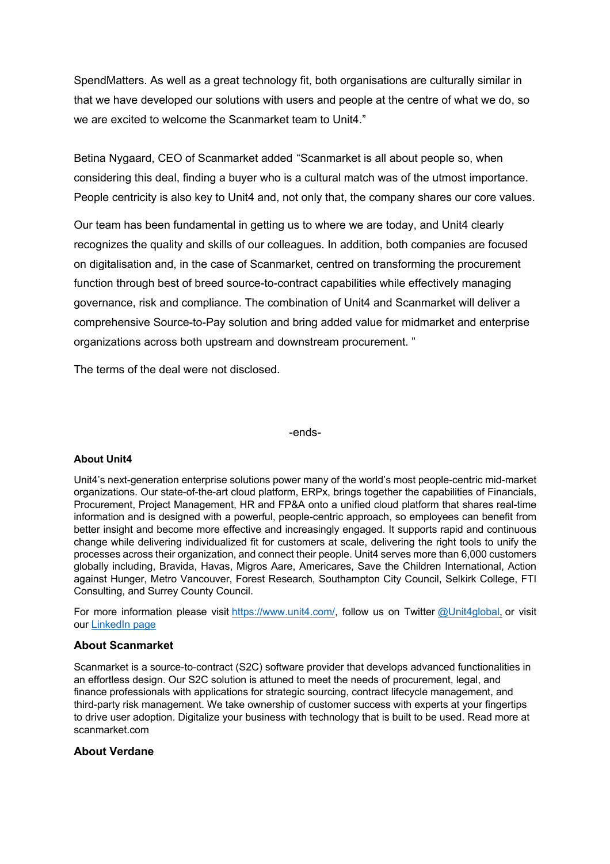SpendMatters. As well as a great technology fit, both organisations are culturally similar in that we have developed our solutions with users and people at the centre of what we do, so we are excited to welcome the Scanmarket team to Unit4."

Betina Nygaard, CEO of Scanmarket added "Scanmarket is all about people so, when considering this deal, finding a buyer who is a cultural match was of the utmost importance. People centricity is also key to Unit4 and, not only that, the company shares our core values.

Our team has been fundamental in getting us to where we are today, and Unit4 clearly recognizes the quality and skills of our colleagues. In addition, both companies are focused on digitalisation and, in the case of Scanmarket, centred on transforming the procurement function through best of breed source-to-contract capabilities while effectively managing governance, risk and compliance. The combination of Unit4 and Scanmarket will deliver a comprehensive Source-to-Pay solution and bring added value for midmarket and enterprise organizations across both upstream and downstream procurement. "

The terms of the deal were not disclosed.

-ends-

### **About Unit4**

Unit4's next-generation enterprise solutions power many of the world's most people-centric mid-market organizations. Our state-of-the-art cloud platform, ERPx, brings together the capabilities of Financials, Procurement, Project Management, HR and FP&A onto a unified cloud platform that shares real-time information and is designed with a powerful, people-centric approach, so employees can benefit from better insight and become more effective and increasingly engaged. It supports rapid and continuous change while delivering individualized fit for customers at scale, delivering the right tools to unify the processes across their organization, and connect their people. Unit4 serves more than 6,000 customers globally including, Bravida, Havas, Migros Aare, Americares, Save the Children International, Action against Hunger, Metro Vancouver, Forest Research, Southampton City Council, Selkirk College, FTI Consulting, and Surrey County Council.

For more information please visit https://www.unit4.com/, follow us on Twitter @Unit4global, or visit our LinkedIn page

### **About Scanmarket**

Scanmarket is a source-to-contract (S2C) software provider that develops advanced functionalities in an effortless design. Our S2C solution is attuned to meet the needs of procurement, legal, and finance professionals with applications for strategic sourcing, contract lifecycle management, and third-party risk management. We take ownership of customer success with experts at your fingertips to drive user adoption. Digitalize your business with technology that is built to be used. Read more at scanmarket.com

### **About Verdane**